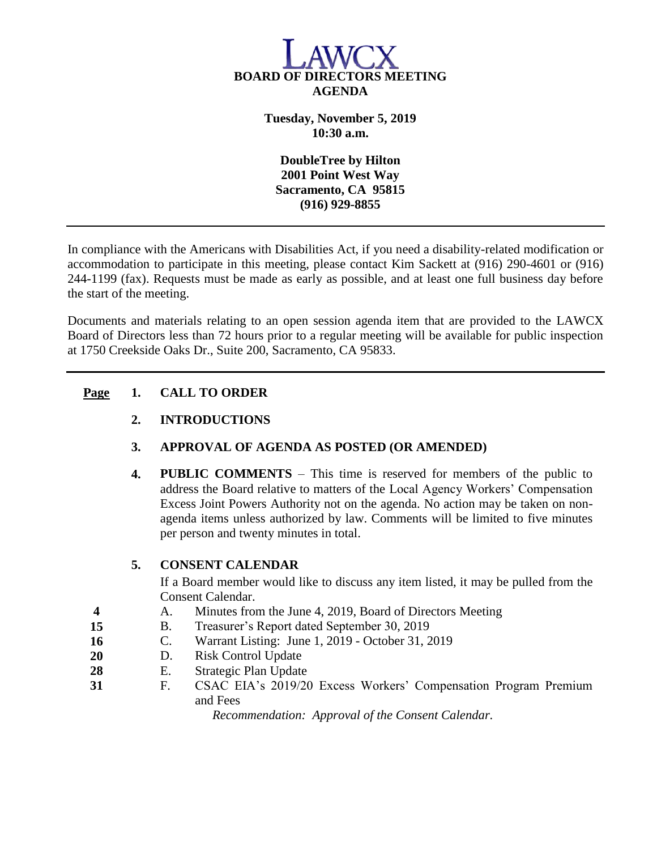

**Tuesday, November 5, 2019 10:30 a.m.**

**DoubleTree by Hilton 2001 Point West Way Sacramento, CA 95815 (916) 929-8855**

In compliance with the Americans with Disabilities Act, if you need a disability-related modification or accommodation to participate in this meeting, please contact Kim Sackett at (916) 290-4601 or (916) 244-1199 (fax). Requests must be made as early as possible, and at least one full business day before the start of the meeting.

Documents and materials relating to an open session agenda item that are provided to the LAWCX Board of Directors less than 72 hours prior to a regular meeting will be available for public inspection at 1750 Creekside Oaks Dr., Suite 200, Sacramento, CA 95833.

## **Page 1. CALL TO ORDER**

**2. INTRODUCTIONS**

## **3. APPROVAL OF AGENDA AS POSTED (OR AMENDED)**

**4. PUBLIC COMMENTS** – This time is reserved for members of the public to address the Board relative to matters of the Local Agency Workers' Compensation Excess Joint Powers Authority not on the agenda. No action may be taken on nonagenda items unless authorized by law. Comments will be limited to five minutes per person and twenty minutes in total.

## **5. CONSENT CALENDAR**

If a Board member would like to discuss any item listed, it may be pulled from the Consent Calendar.

- **4** A. Minutes from the June 4, 2019, Board of Directors Meeting
- **15** B. Treasurer's Report dated September 30, 2019
- **16** C. Warrant Listing: June 1, 2019 October 31, 2019
- **20** D. Risk Control Update
- **28** E. Strategic Plan Update
- **31** F. CSAC EIA's 2019/20 Excess Workers' Compensation Program Premium and Fees

*Recommendation: Approval of the Consent Calendar.*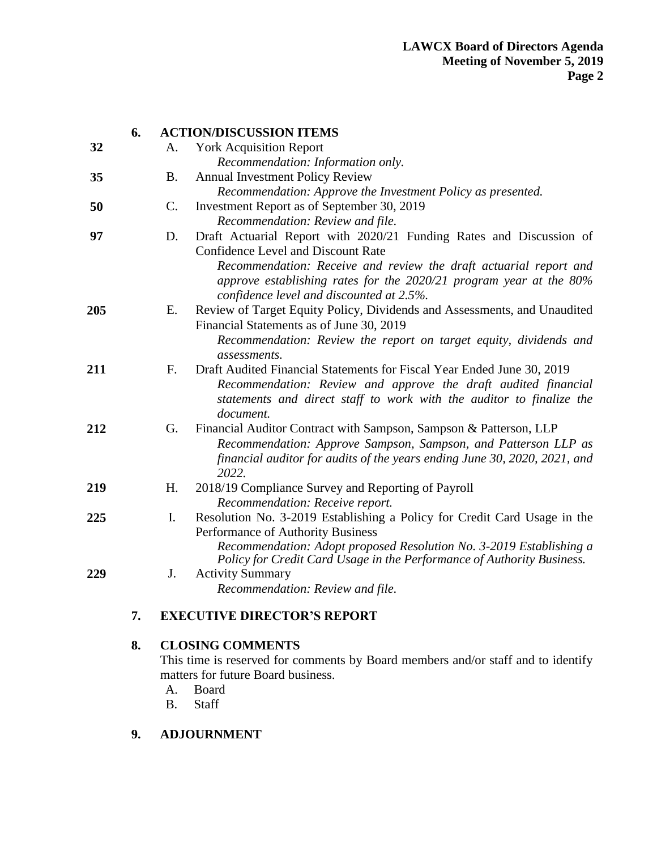|     | 6. | <b>ACTION/DISCUSSION ITEMS</b> |                                                                                                                                                                                                                               |
|-----|----|--------------------------------|-------------------------------------------------------------------------------------------------------------------------------------------------------------------------------------------------------------------------------|
| 32  |    | A.                             | <b>York Acquisition Report</b>                                                                                                                                                                                                |
|     |    |                                | Recommendation: Information only.                                                                                                                                                                                             |
| 35  |    | <b>B.</b>                      | <b>Annual Investment Policy Review</b>                                                                                                                                                                                        |
|     |    |                                | Recommendation: Approve the Investment Policy as presented.                                                                                                                                                                   |
| 50  |    | $\mathcal{C}$ .                | Investment Report as of September 30, 2019                                                                                                                                                                                    |
|     |    |                                | Recommendation: Review and file.                                                                                                                                                                                              |
| 97  |    | D.                             | Draft Actuarial Report with 2020/21 Funding Rates and Discussion of<br><b>Confidence Level and Discount Rate</b>                                                                                                              |
|     |    |                                | Recommendation: Receive and review the draft actuarial report and<br>approve establishing rates for the 2020/21 program year at the 80%<br>confidence level and discounted at 2.5%.                                           |
| 205 |    | Е.                             | Review of Target Equity Policy, Dividends and Assessments, and Unaudited                                                                                                                                                      |
|     |    |                                | Financial Statements as of June 30, 2019                                                                                                                                                                                      |
|     |    |                                | Recommendation: Review the report on target equity, dividends and<br>assessments.                                                                                                                                             |
| 211 |    | $F_{\cdot}$                    | Draft Audited Financial Statements for Fiscal Year Ended June 30, 2019<br>Recommendation: Review and approve the draft audited financial<br>statements and direct staff to work with the auditor to finalize the<br>document. |
| 212 |    | G.                             | Financial Auditor Contract with Sampson, Sampson & Patterson, LLP<br>Recommendation: Approve Sampson, Sampson, and Patterson LLP as<br>financial auditor for audits of the years ending June 30, 2020, 2021, and<br>2022.     |
| 219 |    | H.                             | 2018/19 Compliance Survey and Reporting of Payroll<br>Recommendation: Receive report.                                                                                                                                         |
| 225 |    | I.                             | Resolution No. 3-2019 Establishing a Policy for Credit Card Usage in the                                                                                                                                                      |
|     |    |                                | Performance of Authority Business<br>Recommendation: Adopt proposed Resolution No. 3-2019 Establishing a<br>Policy for Credit Card Usage in the Performance of Authority Business.                                            |
| 229 |    | J.                             | <b>Activity Summary</b>                                                                                                                                                                                                       |
|     |    |                                | Recommendation: Review and file.                                                                                                                                                                                              |
|     | 7. |                                | <b>EXECUTIVE DIRECTOR'S REPORT</b>                                                                                                                                                                                            |

# **8. CLOSING COMMENTS**

This time is reserved for comments by Board members and/or staff and to identify matters for future Board business.

- A. Board
- B. Staff
- **9. ADJOURNMENT**